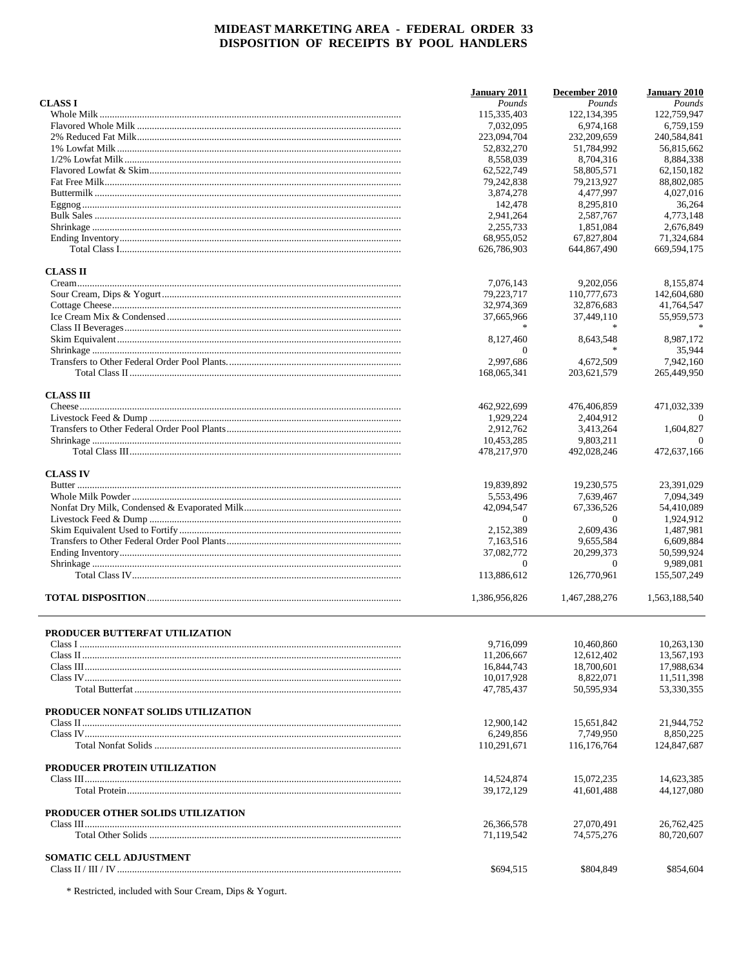|                                       | <b>January 2011</b>       | December 2010             | <b>January 2010</b>       |
|---------------------------------------|---------------------------|---------------------------|---------------------------|
| <b>CLASS I</b>                        | Pounds                    | Pounds                    | Pounds                    |
|                                       | 115,335,403               | 122, 134, 395             | 122,759,947               |
|                                       | 7,032,095                 | 6,974,168                 | 6,759,159                 |
|                                       | 223,094,704               | 232,209,659               | 240,584,841               |
|                                       | 52,832,270                | 51,784,992                | 56,815,662                |
|                                       | 8,558,039                 | 8,704,316                 | 8,884,338                 |
|                                       | 62,522,749                | 58,805,571                | 62,150,182                |
|                                       | 79,242,838                | 79,213,927                | 88,802,085                |
|                                       | 3,874,278                 | 4,477,997                 | 4,027,016                 |
|                                       | 142,478                   | 8,295,810                 | 36,264                    |
|                                       | 2,941,264                 | 2,587,767                 | 4,773,148                 |
|                                       | 2.255.733                 | 1,851,084                 | 2,676,849                 |
|                                       | 68,955,052<br>626,786,903 | 67.827.804<br>644,867,490 | 71,324,684<br>669,594,175 |
| <b>CLASS II</b>                       |                           |                           |                           |
|                                       | 7,076,143                 | 9,202,056                 | 8,155,874                 |
|                                       | 79,223,717                | 110,777,673               | 142,604,680               |
|                                       | 32,974,369                | 32,876,683                | 41,764,547                |
|                                       | 37,665,966                | 37,449,110                | 55,959,573                |
|                                       |                           |                           |                           |
|                                       | 8.127.460                 | 8,643,548                 | 8,987,172                 |
|                                       | $\Omega$                  |                           | 35,944                    |
|                                       | 2,997,686                 | 4,672,509                 | 7,942,160                 |
|                                       | 168,065,341               | 203,621,579               | 265,449,950               |
|                                       |                           |                           |                           |
| <b>CLASS III</b>                      | 462,922,699               | 476,406,859               | 471,032,339               |
|                                       | 1,929,224                 | 2,404,912                 | $\Omega$                  |
|                                       | 2,912,762                 | 3,413,264                 | 1,604,827                 |
|                                       | 10,453,285                | 9,803,211                 | $\Omega$                  |
|                                       | 478,217,970               | 492,028,246               | 472,637,166               |
| <b>CLASS IV</b>                       |                           |                           |                           |
|                                       | 19,839,892                | 19,230,575                | 23,391,029                |
|                                       | 5,553,496                 | 7,639,467                 | 7.094.349                 |
|                                       | 42,094,547                | 67,336,526                | 54,410,089                |
|                                       | $\Omega$                  | $\Omega$                  | 1,924,912                 |
|                                       | 2,152,389                 | 2,609,436                 | 1,487,981                 |
|                                       | 7,163,516                 | 9,655,584                 | 6,609,884                 |
|                                       | 37,082,772                | 20,299,373                | 50,599,924                |
|                                       | $\overline{0}$            | $\theta$                  | 9,989,081                 |
|                                       | 113,886,612               | 126,770,961               | 155,507,249               |
|                                       | 1,386,956,826             | 1,467,288,276             | 1,563,188,540             |
|                                       |                           |                           |                           |
| <b>PRODUCER BUTTERFAT UTILIZATION</b> | 9,716,099                 | 10,460,860                | 10,263,130                |
|                                       | 11,206,667                | 12,612,402                | 13,567,193                |
|                                       | 16,844,743                | 18,700,601                | 17,988,634                |
|                                       | 10,017,928                | 8,822,071                 | 11,511,398                |
|                                       | 47,785,437                | 50,595,934                | 53,330,355                |
| PRODUCER NONFAT SOLIDS UTILIZATION    |                           |                           |                           |
|                                       | 12,900,142                | 15,651,842                | 21,944,752                |
|                                       | 6,249,856                 | 7,749,950                 | 8,850,225                 |
|                                       | 110,291,671               | 116,176,764               | 124,847,687               |
| PRODUCER PROTEIN UTILIZATION          |                           |                           |                           |
|                                       | 14,524,874                | 15,072,235                | 14,623,385                |
|                                       | 39, 172, 129              | 41,601,488                | 44,127,080                |
| PRODUCER OTHER SOLIDS UTILIZATION     |                           |                           |                           |
|                                       | 26,366,578                | 27,070,491                | 26,762,425                |
|                                       | 71,119,542                | 74,575,276                | 80,720,607                |
| <b>SOMATIC CELL ADJUSTMENT</b>        |                           |                           |                           |
|                                       | \$694,515                 | \$804,849                 | \$854,604                 |

\* Restricted, included with Sour Cream, Dips & Yogurt.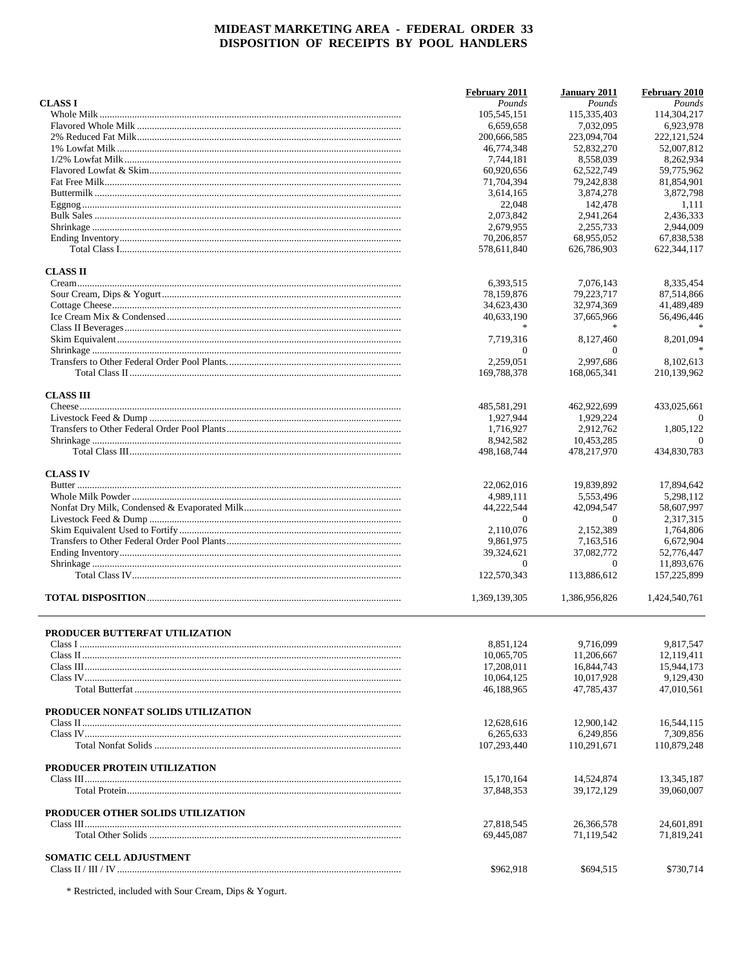|                                    | February 2011               | January 2011            | February 2010             |
|------------------------------------|-----------------------------|-------------------------|---------------------------|
| <b>CLASS I</b>                     | Pounds<br>105,545,151       | Pounds<br>115.335.403   | Pounds<br>114,304,217     |
|                                    | 6.659.658                   | 7,032,095               | 6,923,978                 |
|                                    | 200,666,585                 | 223,094,704             | 222, 121, 524             |
|                                    | 46,774,348                  | 52,832,270              | 52,007,812                |
|                                    | 7.744.181                   | 8,558,039               | 8,262,934                 |
|                                    | 60,920,656                  | 62,522,749              | 59,775,962                |
|                                    | 71,704,394                  | 79,242,838              | 81,854,901                |
|                                    | 3,614,165                   | 3,874,278               | 3,872,798                 |
|                                    | 22,048                      | 142,478                 | 1,111                     |
|                                    | 2,073,842                   | 2,941,264               | 2,436,333                 |
|                                    | 2,679,955                   | 2,255,733               | 2,944,009                 |
|                                    | 70,206,857                  | 68.955.052              | 67,838,538                |
|                                    | 578.611.840                 | 626,786,903             | 622,344,117               |
| <b>CLASS II</b>                    |                             |                         |                           |
|                                    | 6,393,515                   | 7,076,143               | 8,335,454                 |
|                                    | 78,159,876                  | 79,223,717              | 87,514,866                |
|                                    | 34,623,430                  | 32,974,369              | 41,489,489                |
|                                    | 40,633,190                  | 37,665,966              | 56,496,446                |
|                                    |                             |                         |                           |
|                                    | 7,719,316                   | 8,127,460               | 8,201,094                 |
|                                    | $\theta$                    | $\Omega$                |                           |
|                                    | 2.259,051                   | 2,997,686               | 8.102.613                 |
|                                    | 169,788,378                 | 168,065,341             | 210,139,962               |
| <b>CLASS III</b>                   |                             |                         |                           |
|                                    | 485,581,291                 | 462,922,699             | 433,025,661               |
|                                    | 1,927,944                   | 1,929,224               | $\Omega$                  |
|                                    | 1,716,927                   | 2,912,762               | 1,805,122                 |
|                                    | 8,942,582                   | 10,453,285              | $\Omega$                  |
|                                    | 498,168,744                 | 478,217,970             | 434,830,783               |
| <b>CLASS IV</b>                    |                             |                         |                           |
|                                    | 22,062,016                  | 19,839,892              | 17,894,642                |
|                                    | 4,989,111                   | 5,553,496               | 5,298,112                 |
|                                    | 44,222,544                  | 42,094,547              | 58,607,997                |
|                                    | $\mathbf{0}$                | $\theta$                | 2,317,315                 |
|                                    | 2,110,076                   | 2,152,389               | 1,764,806                 |
|                                    | 9,861,975                   | 7,163,516               | 6,672,904                 |
|                                    | 39,324,621                  | 37,082,772              | 52,776,447                |
|                                    | $\mathbf{0}$<br>122,570,343 | $\theta$<br>113,886,612 | 11.893.676<br>157,225,899 |
|                                    |                             |                         |                           |
|                                    | 1,369,139,305               | 1,386,956,826           | 1,424,540,761             |
| PRODUCER BUTTERFAT UTILIZATION     |                             |                         |                           |
|                                    | 8,851,124                   | 9,716,099               | 9,817,547                 |
|                                    | 10,065,705                  | 11,206,667              | 12,119,411                |
|                                    | 17,208,011                  | 16,844,743              | 15,944,173                |
|                                    | 10,064,125                  | 10,017,928              | 9,129,430                 |
|                                    | 46,188,965                  | 47,785,437              | 47,010,561                |
| PRODUCER NONFAT SOLIDS UTILIZATION |                             |                         |                           |
|                                    | 12,628,616                  | 12,900,142              | 16,544,115                |
|                                    | 6,265,633                   | 6,249,856               | 7.309.856                 |
|                                    | 107,293,440                 | 110,291,671             | 110,879,248               |
| PRODUCER PROTEIN UTILIZATION       |                             |                         |                           |
|                                    | 15,170,164                  | 14,524,874              | 13,345,187                |
|                                    | 37,848,353                  | 39, 172, 129            | 39,060,007                |
| PRODUCER OTHER SOLIDS UTILIZATION  |                             |                         |                           |
|                                    | 27,818,545                  | 26,366,578              | 24,601,891                |
|                                    | 69,445,087                  | 71,119,542              | 71,819,241                |
| <b>SOMATIC CELL ADJUSTMENT</b>     |                             |                         |                           |
|                                    | \$962,918                   | \$694,515               | \$730,714                 |

\* Restricted, included with Sour Cream, Dips & Yogurt.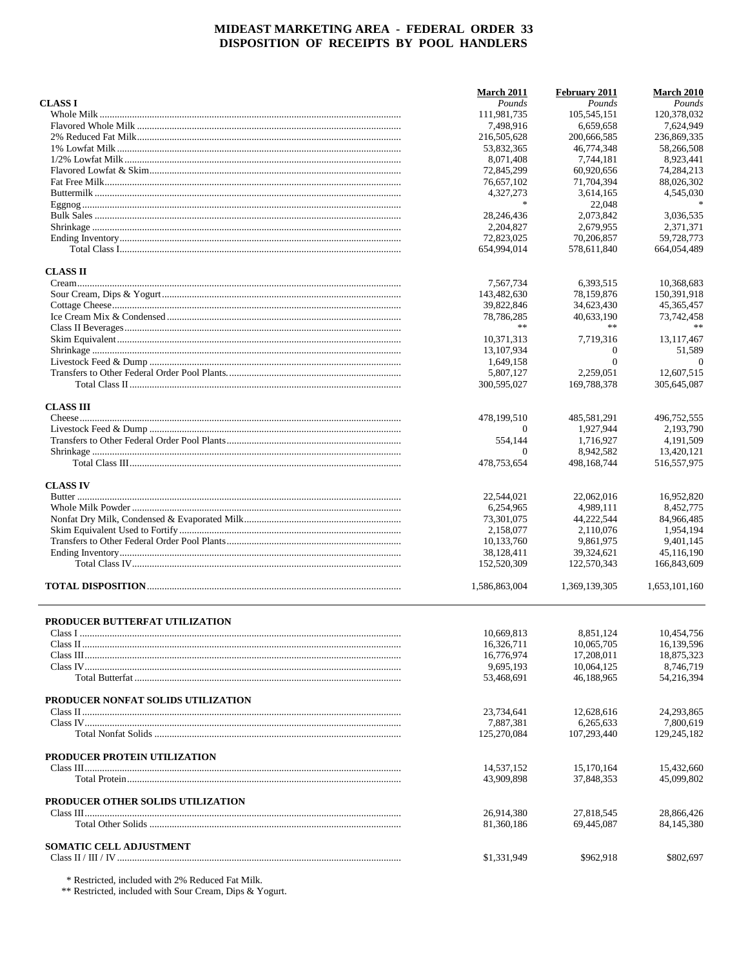|                                    | <b>March 2011</b>         | February 2011                      | <b>March 2010</b>        |
|------------------------------------|---------------------------|------------------------------------|--------------------------|
| <b>CLASS I</b>                     | Pounds                    | Pounds                             | Pounds                   |
|                                    | 111,981,735               | 105.545.151                        | 120,378,032              |
|                                    | 7,498,916                 | 6.659.658                          | 7.624.949                |
|                                    | 216,505,628               | 200,666,585                        | 236,869,335              |
|                                    | 53,832,365                | 46,774,348                         | 58,266,508               |
|                                    | 8,071,408<br>72,845,299   | 7,744,181<br>60,920,656            | 8,923,441<br>74,284,213  |
|                                    | 76,657,102                | 71,704,394                         | 88,026,302               |
|                                    | 4,327,273                 | 3,614,165                          | 4,545,030                |
|                                    | $\ast$                    | 22,048                             | $\ast$                   |
|                                    | 28, 246, 436              | 2,073,842                          | 3,036,535                |
|                                    | 2,204,827                 | 2,679,955                          | 2.371.371                |
|                                    | 72,823,025                | 70.206.857                         | 59,728,773               |
|                                    | 654,994,014               | 578,611,840                        | 664,054,489              |
| <b>CLASS II</b>                    |                           |                                    |                          |
|                                    | 7,567,734                 | 6,393,515                          | 10,368,683               |
|                                    | 143,482,630               | 78,159,876                         | 150,391,918              |
|                                    | 39,822,846                | 34,623,430                         | 45, 365, 457             |
|                                    | 78,786,285                | 40,633,190                         | 73,742,458               |
|                                    | **                        | **                                 |                          |
|                                    | 10,371,313                | 7,719,316                          | 13, 117, 467             |
|                                    | 13, 107, 934<br>1,649,158 | $\boldsymbol{0}$<br>$\overline{0}$ | 51,589<br>$\theta$       |
|                                    | 5,807,127                 | 2,259,051                          | 12,607,515               |
|                                    | 300,595,027               | 169,788,378                        | 305,645,087              |
|                                    |                           |                                    |                          |
| <b>CLASS III</b>                   |                           |                                    |                          |
|                                    | 478,199,510<br>$\Omega$   | 485,581,291<br>1,927,944           | 496,752,555<br>2,193,790 |
|                                    | 554,144                   | 1,716,927                          | 4,191,509                |
|                                    | $\Omega$                  | 8,942,582                          | 13,420,121               |
|                                    | 478,753,654               | 498,168,744                        | 516, 557, 975            |
| <b>CLASS IV</b>                    |                           |                                    |                          |
|                                    | 22,544,021                | 22,062,016                         | 16,952,820               |
|                                    | 6,254,965                 | 4,989,111                          | 8,452,775                |
|                                    | 73,301,075                | 44,222,544                         | 84,966,485               |
|                                    | 2,158,077                 | 2,110,076                          | 1,954,194                |
|                                    | 10,133,760                | 9,861,975                          | 9,401,145                |
|                                    | 38,128,411                | 39,324,621                         | 45,116,190               |
|                                    | 152,520,309               | 122,570,343                        | 166,843,609              |
|                                    | 1,586,863,004             | 1,369,139,305                      | 1,653,101,160            |
| PRODUCER BUTTERFAT UTILIZATION     |                           |                                    |                          |
|                                    | 10,669,813                | 8,851,124                          | 10,454,756               |
|                                    | 16,326,711                | 10,065,705                         | 16.139.596               |
|                                    | 16,776,974                | 17,208,011                         | 18,875,323               |
|                                    | 9,695,193                 | 10,064,125                         | 8,746,719                |
|                                    | 53,468,691                | 46,188,965                         | 54,216,394               |
| PRODUCER NONFAT SOLIDS UTILIZATION |                           |                                    |                          |
|                                    | 23,734,641                | 12,628,616                         | 24,293,865               |
|                                    | 7,887,381                 | 6,265,633                          | 7,800,619                |
|                                    | 125,270,084               | 107,293,440                        | 129,245,182              |
| PRODUCER PROTEIN UTILIZATION       |                           |                                    |                          |
|                                    | 14,537,152                | 15,170,164                         | 15.432.660               |
|                                    | 43,909,898                | 37,848,353                         | 45,099,802               |
| PRODUCER OTHER SOLIDS UTILIZATION  |                           |                                    |                          |
|                                    | 26,914,380                | 27,818,545                         | 28,866,426               |
|                                    | 81,360,186                | 69,445,087                         | 84,145,380               |
| <b>SOMATIC CELL ADJUSTMENT</b>     |                           |                                    |                          |
|                                    | \$1,331,949               | \$962,918                          | \$802,697                |
|                                    |                           |                                    |                          |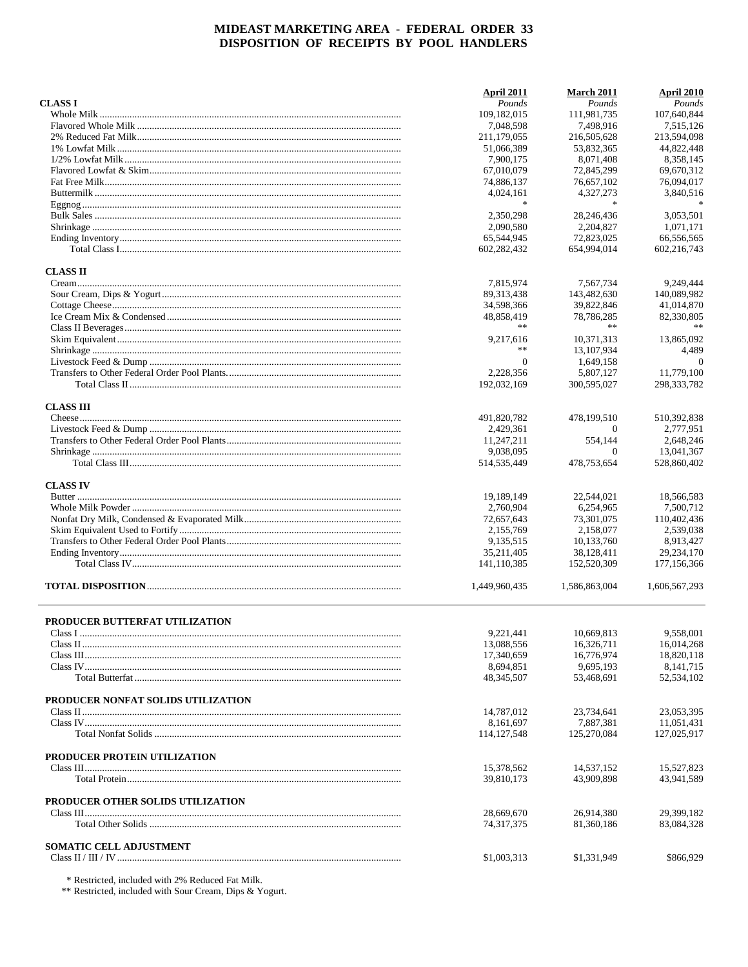|                                    | April 2011                 | <b>March 2011</b>       | April 2010                |
|------------------------------------|----------------------------|-------------------------|---------------------------|
| <b>CLASS I</b>                     | Pounds                     | Pounds                  | Pounds                    |
|                                    | 109,182,015                | 111.981.735             | 107.640.844               |
|                                    | 7,048,598                  | 7,498,916               | 7,515,126                 |
|                                    | 211,179,055                | 216,505,628             | 213,594,098               |
|                                    | 51,066,389                 | 53,832,365              | 44,822,448                |
|                                    | 7,900,175                  | 8,071,408               | 8,358,145                 |
|                                    | 67,010,079                 | 72,845,299              | 69,670,312                |
|                                    | 74,886,137                 | 76,657,102              | 76,094,017                |
|                                    | 4,024,161<br>宗             | 4,327,273<br>$\ast$     | 3,840,516                 |
|                                    | 2.350.298                  |                         | 3.053.501                 |
|                                    |                            | 28,246,436              |                           |
|                                    | 2,090,580<br>65,544,945    | 2,204,827<br>72,823,025 | 1,071,171<br>66.556.565   |
|                                    | 602,282,432                | 654.994.014             | 602.216.743               |
| <b>CLASS II</b>                    |                            |                         |                           |
|                                    | 7,815,974                  | 7,567,734               | 9,249,444                 |
|                                    | 89, 313, 438               | 143,482,630             | 140,089,982               |
|                                    | 34,598,366                 | 39,822,846              | 41,014,870                |
|                                    | 48,858,419                 | 78,786,285              | 82,330,805                |
|                                    | **                         | **                      |                           |
|                                    | 9,217,616                  | 10,371,313              | 13,865,092                |
|                                    | **                         | 13, 107, 934            | 4,489                     |
|                                    | $\mathbf{0}$               | 1,649,158               | $\theta$                  |
|                                    | 2,228,356                  | 5.807.127               | 11,779,100                |
|                                    | 192,032,169                | 300,595,027             | 298, 333, 782             |
| <b>CLASS III</b>                   |                            |                         |                           |
|                                    | 491,820,782                | 478,199,510             | 510,392,838               |
|                                    | 2,429,361                  | $\Omega$                | 2.777.951                 |
|                                    | 11,247,211                 | 554,144                 | 2,648,246                 |
|                                    | 9,038,095<br>514, 535, 449 | $\Omega$<br>478,753,654 | 13,041,367<br>528,860,402 |
|                                    |                            |                         |                           |
| <b>CLASS IV</b>                    |                            |                         |                           |
|                                    | 19,189,149                 | 22,544,021              | 18,566,583                |
|                                    | 2,760,904                  | 6,254,965               | 7,500,712                 |
|                                    | 72,657,643                 | 73,301,075              | 110,402,436               |
|                                    | 2,155,769                  | 2,158,077               | 2,539,038                 |
|                                    | 9,135,515                  | 10,133,760              | 8,913,427                 |
|                                    | 35,211,405                 | 38,128,411              | 29,234,170                |
|                                    | 141,110,385                | 152,520,309             | 177, 156, 366             |
|                                    | 1,449,960,435              | 1,586,863,004           | 1.606.567.293             |
| PRODUCER BUTTERFAT UTILIZATION     |                            |                         |                           |
|                                    | 9,221,441                  | 10,669,813              | 9,558,001                 |
|                                    | 13,088,556                 | 16,326,711              | 16.014.268                |
|                                    | 17,340,659                 | 16,776,974              | 18,820,118                |
|                                    | 8,694,851                  | 9,695,193               | 8,141,715                 |
|                                    | 48, 345, 507               | 53,468,691              | 52,534,102                |
| PRODUCER NONFAT SOLIDS UTILIZATION |                            |                         |                           |
|                                    | 14,787,012                 | 23,734,641              | 23,053,395                |
|                                    | 8,161,697                  | 7,887,381               | 11,051,431                |
|                                    | 114, 127, 548              | 125,270,084             | 127,025,917               |
| PRODUCER PROTEIN UTILIZATION       |                            |                         |                           |
|                                    | 15,378,562                 | 14,537,152              | 15,527,823                |
|                                    | 39,810,173                 | 43,909,898              | 43,941,589                |
| PRODUCER OTHER SOLIDS UTILIZATION  |                            |                         |                           |
|                                    | 28,669,670                 | 26,914,380              | 29,399,182                |
|                                    | 74,317,375                 | 81,360,186              | 83,084,328                |
| <b>SOMATIC CELL ADJUSTMENT</b>     |                            |                         |                           |
|                                    | \$1,003,313                | \$1,331,949             | \$866,929                 |
|                                    |                            |                         |                           |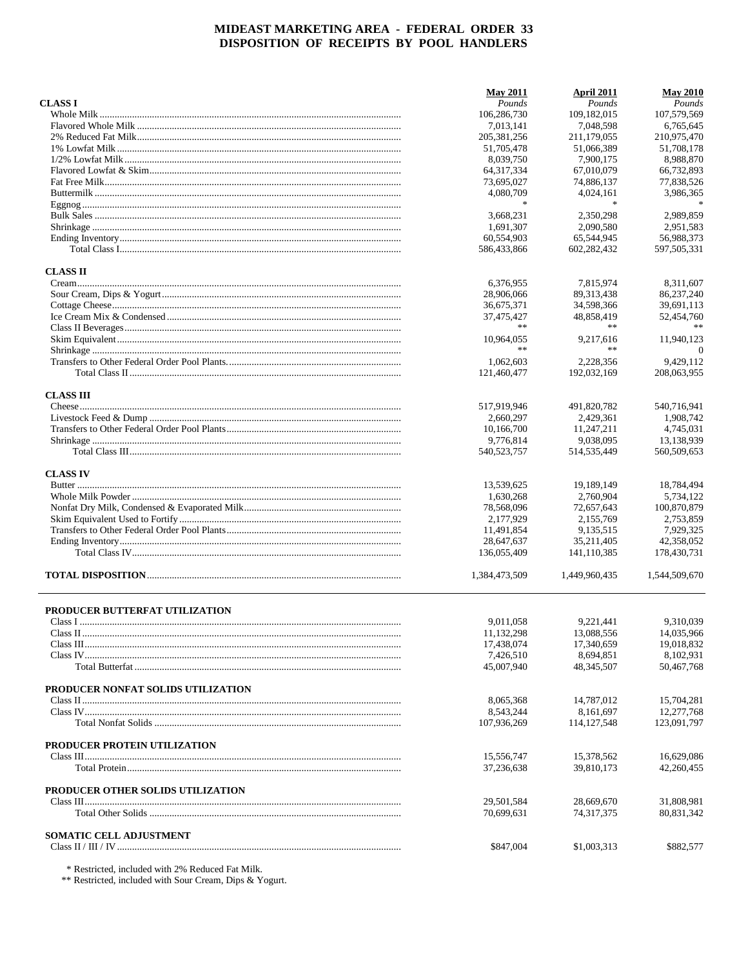|                                    | <b>May 2011</b> | April 2011    | <b>May 2010</b> |
|------------------------------------|-----------------|---------------|-----------------|
| <b>CLASS I</b>                     | Pounds          | Pounds        | Pounds          |
|                                    | 106,286,730     | 109, 182, 015 | 107,579,569     |
|                                    | 7,013,141       | 7,048,598     | 6,765,645       |
|                                    | 205, 381, 256   | 211,179,055   | 210,975,470     |
|                                    | 51,705,478      | 51,066,389    | 51,708,178      |
|                                    | 8,039,750       | 7,900,175     | 8,988,870       |
|                                    | 64, 317, 334    | 67,010,079    | 66,732,893      |
|                                    | 73,695,027      | 74,886,137    | 77,838,526      |
|                                    | 4,080,709       | 4,024,161     | 3,986,365       |
|                                    | ∗               | $\ast$        |                 |
|                                    | 3,668,231       | 2,350,298     | 2,989,859       |
|                                    | 1,691,307       | 2,090,580     | 2,951,583       |
|                                    | 60,554,903      | 65,544,945    | 56,988,373      |
|                                    | 586,433,866     | 602,282,432   | 597,505,331     |
| <b>CLASS II</b>                    |                 |               |                 |
|                                    | 6,376,955       | 7,815,974     | 8,311,607       |
|                                    | 28,906,066      | 89, 313, 438  | 86,237,240      |
|                                    | 36,675,371      | 34,598,366    | 39,691,113      |
|                                    | 37,475,427      | 48,858,419    | 52,454,760      |
|                                    | **              | **            |                 |
|                                    | 10,964,055      | 9,217,616     | 11,940,123      |
|                                    | **              | **            | $\theta$        |
|                                    | 1,062,603       | 2,228,356     | 9,429,112       |
|                                    | 121,460,477     | 192,032,169   | 208.063.955     |
| <b>CLASS III</b>                   |                 |               |                 |
|                                    | 517,919,946     | 491,820,782   | 540,716,941     |
|                                    | 2,660,297       | 2,429,361     | 1,908,742       |
|                                    | 10,166,700      | 11,247,211    | 4,745,031       |
|                                    | 9,776,814       | 9,038,095     | 13,138,939      |
|                                    | 540,523,757     | 514, 535, 449 | 560,509,653     |
|                                    |                 |               |                 |
| <b>CLASS IV</b>                    |                 |               |                 |
|                                    | 13,539,625      | 19,189,149    | 18,784,494      |
|                                    | 1,630,268       | 2,760,904     | 5,734,122       |
|                                    | 78,568,096      | 72,657,643    | 100,870,879     |
|                                    | 2,177,929       | 2,155,769     | 2,753,859       |
|                                    | 11,491,854      | 9,135,515     | 7,929,325       |
|                                    | 28,647,637      | 35,211,405    | 42,358,052      |
|                                    | 136,055,409     | 141,110,385   | 178,430,731     |
|                                    | 1,384,473,509   | 1,449,960,435 | 1,544,509,670   |
| PRODUCER BUTTERFAT UTILIZATION     |                 |               |                 |
|                                    | 9,011,058       | 9,221,441     | 9,310,039       |
|                                    | 11,132,298      | 13,088,556    | 14,035,966      |
|                                    | 17,438,074      | 17,340,659    | 19,018,832      |
|                                    | 7,426,510       | 8,694,851     | 8,102,931       |
|                                    | 45,007,940      | 48, 345, 507  | 50,467,768      |
| PRODUCER NONFAT SOLIDS UTILIZATION |                 |               |                 |
|                                    | 8,065,368       | 14,787,012    | 15,704,281      |
|                                    | 8,543,244       | 8,161,697     | 12,277,768      |
|                                    | 107,936,269     | 114, 127, 548 | 123,091,797     |
| PRODUCER PROTEIN UTILIZATION       |                 |               |                 |
|                                    | 15,556,747      | 15,378,562    | 16,629,086      |
|                                    | 37,236,638      | 39,810,173    | 42,260,455      |
| PRODUCER OTHER SOLIDS UTILIZATION  |                 |               |                 |
|                                    | 29,501,584      | 28,669,670    | 31,808,981      |
|                                    | 70,699,631      | 74,317,375    | 80,831,342      |
| <b>SOMATIC CELL ADJUSTMENT</b>     |                 |               |                 |
|                                    | \$847,004       | \$1,003,313   | \$882,577       |
|                                    |                 |               |                 |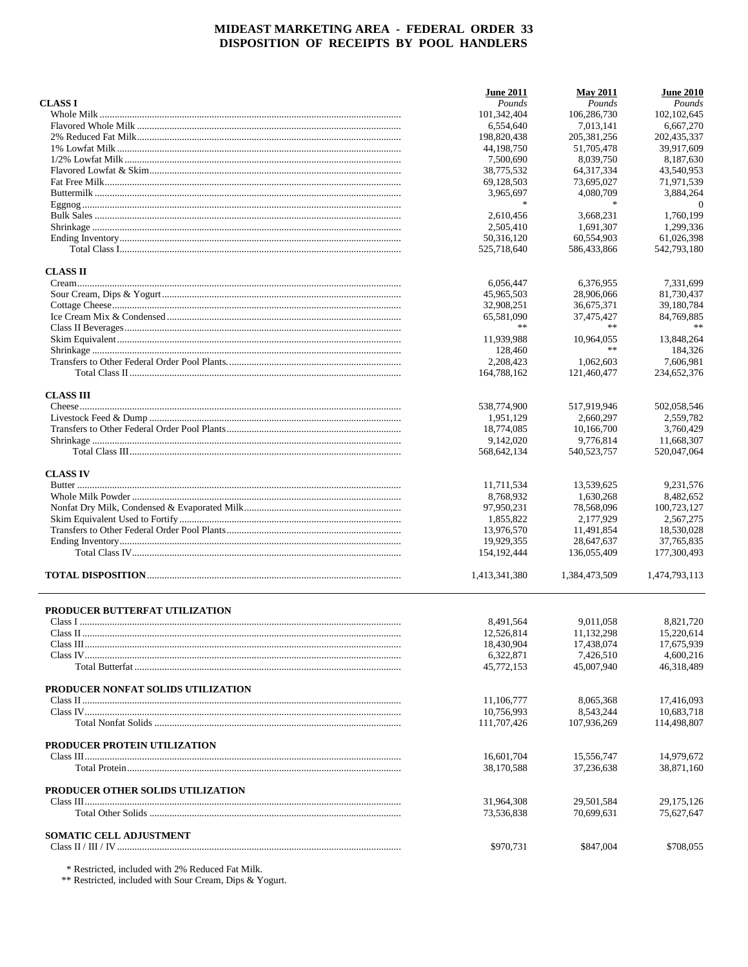|                                    | <b>June 2011</b>         | <b>May 2011</b>          | <b>June 2010</b>         |
|------------------------------------|--------------------------|--------------------------|--------------------------|
| <b>CLASS I</b>                     | Pounds                   | Pounds                   | Pounds                   |
|                                    | 101,342,404              | 106,286,730              | 102, 102, 645            |
|                                    | 6,554,640                | 7.013.141                | 6,667,270                |
|                                    | 198,820,438              | 205, 381, 256            | 202,435,337              |
|                                    | 44.198.750               | 51,705,478               | 39,917,609               |
|                                    | 7,500,690                | 8.039.750                | 8,187,630                |
|                                    | 38,775,532               | 64, 317, 334             | 43,540,953               |
|                                    | 69,128,503               | 73,695,027               | 71,971,539               |
|                                    | 3,965,697                | 4,080,709                | 3,884,264                |
|                                    | $\frac{1}{20}$           | $\frac{1}{26}$           | $\Omega$                 |
|                                    | 2,610,456                | 3,668,231                | 1,760,199                |
|                                    | 2,505,410                | 1.691.307                | 1.299.336                |
|                                    | 50,316,120               | 60,554,903               | 61,026,398               |
|                                    | 525,718,640              | 586,433,866              | 542,793,180              |
| <b>CLASS II</b>                    |                          |                          |                          |
|                                    | 6,056,447                | 6,376,955                | 7,331,699                |
|                                    | 45,965,503               | 28,906,066               | 81,730,437               |
|                                    | 32,908,251               | 36,675,371               | 39,180,784               |
|                                    | 65,581,090               | 37,475,427               | 84,769,885               |
|                                    | **                       | **                       |                          |
|                                    | 11,939,988               | 10,964,055               | 13.848.264               |
|                                    | 128,460                  |                          | 184,326                  |
|                                    | 2,208,423                | 1,062,603                | 7,606,981                |
|                                    | 164,788,162              | 121,460,477              | 234,652,376              |
| <b>CLASS III</b>                   |                          |                          |                          |
|                                    | 538,774,900              | 517,919,946              | 502,058,546              |
|                                    | 1,951,129                | 2,660,297                | 2,559,782                |
|                                    | 18,774,085               | 10.166.700               | 3,760,429                |
|                                    | 9,142,020                | 9,776,814                | 11,668,307               |
|                                    | 568,642,134              | 540, 523, 757            | 520,047,064              |
|                                    |                          |                          |                          |
| <b>CLASS IV</b>                    |                          |                          |                          |
|                                    | 11,711,534               | 13,539,625               | 9,231,576                |
|                                    | 8,768,932                | 1,630,268                | 8,482,652                |
|                                    | 97,950,231               | 78,568,096               | 100,723,127              |
|                                    | 1,855,822                | 2,177,929                | 2,567,275                |
|                                    | 13,976,570               | 11,491,854               | 18,530,028               |
|                                    | 19,929,355               | 28,647,637               | 37, 765, 835             |
|                                    | 154, 192, 444            | 136,055,409              | 177,300,493              |
|                                    | 1,413,341,380            | 1,384,473,509            | 1,474,793,113            |
| PRODUCER BUTTERFAT UTILIZATION     |                          |                          |                          |
|                                    | 8,491,564                | 9,011,058                | 8,821,720                |
|                                    |                          |                          |                          |
|                                    | 12,526,814<br>18,430,904 | 11,132,298<br>17,438,074 | 15,220,614<br>17,675,939 |
|                                    | 6,322,871                | 7.426.510                | 4,600,216                |
|                                    | 45,772,153               | 45,007,940               | 46,318,489               |
| PRODUCER NONFAT SOLIDS UTILIZATION |                          |                          |                          |
|                                    | 11,106,777               | 8,065,368                | 17,416,093               |
|                                    | 10,756,993               | 8,543,244                | 10,683,718               |
|                                    | 111,707,426              | 107,936,269              | 114,498,807              |
| PRODUCER PROTEIN UTILIZATION       |                          |                          |                          |
|                                    | 16,601,704               | 15,556,747               | 14,979,672               |
|                                    | 38,170,588               | 37.236.638               | 38,871,160               |
| PRODUCER OTHER SOLIDS UTILIZATION  |                          |                          |                          |
|                                    | 31,964,308               | 29,501,584               | 29, 175, 126             |
|                                    | 73,536,838               | 70,699,631               | 75,627,647               |
| <b>SOMATIC CELL ADJUSTMENT</b>     |                          |                          |                          |
|                                    | \$970,731                | \$847,004                | \$708,055                |
|                                    |                          |                          |                          |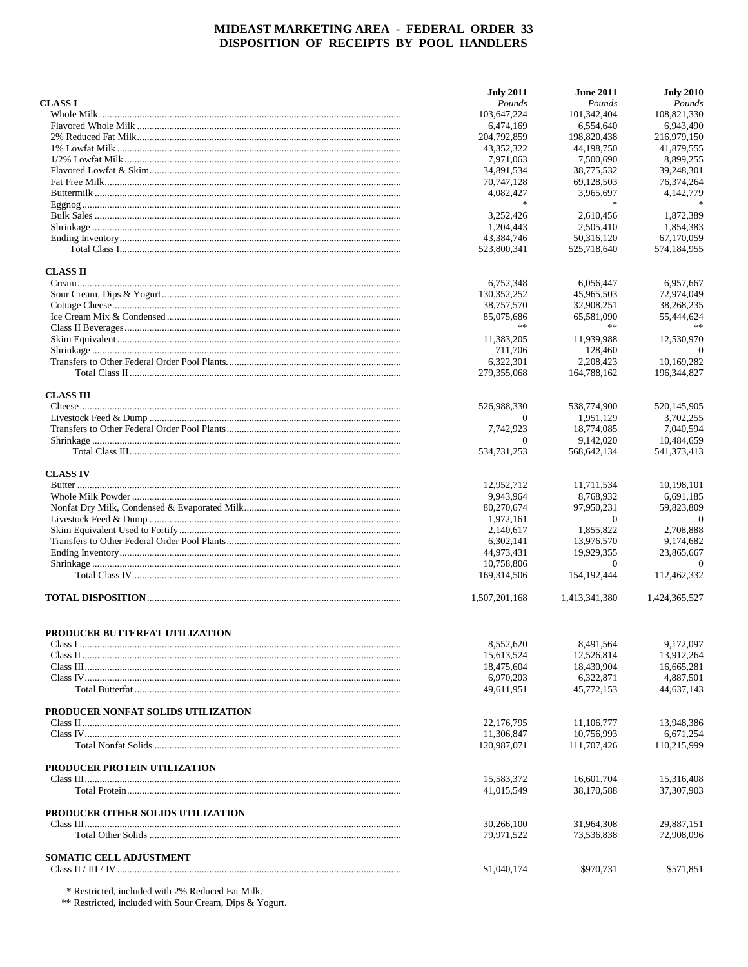|                                       | <b>July 2011</b>         | <b>June 2011</b>         | <b>July 2010</b>         |
|---------------------------------------|--------------------------|--------------------------|--------------------------|
| <b>CLASS I</b>                        | Pounds                   | Pounds                   | Pounds                   |
|                                       | 103,647,224              | 101,342,404              | 108,821,330              |
|                                       | 6,474,169                | 6,554,640                | 6,943,490                |
|                                       | 204,792,859              | 198,820,438              | 216,979,150              |
|                                       | 43,352,322               | 44,198,750               | 41,879,555               |
|                                       | 7,971,063                | 7,500,690                | 8,899,255                |
|                                       | 34,891,534               | 38,775,532               | 39,248,301               |
|                                       | 70,747,128               | 69,128,503               | 76,374,264               |
|                                       | 4,082,427                | 3,965,697                | 4,142,779                |
|                                       | 家                        | $\ast$                   |                          |
|                                       | 3,252,426                | 2,610,456                | 1,872,389                |
|                                       | 1,204,443                | 2,505,410                | 1,854,383                |
|                                       | 43,384,746               | 50,316,120               | 67,170,059               |
|                                       | 523,800,341              | 525,718,640              | 574,184,955              |
| <b>CLASS II</b>                       |                          |                          |                          |
|                                       | 6,752,348                | 6,056,447                | 6,957,667                |
|                                       | 130, 352, 252            | 45,965,503               | 72,974,049               |
|                                       | 38,757,570               | 32,908,251               | 38,268,235               |
|                                       | 85,075,686               | 65,581,090               | 55,444,624               |
|                                       | **                       | **                       |                          |
|                                       | 11,383,205               | 11,939,988               | 12,530,970               |
|                                       | 711,706                  | 128,460                  | $\theta$                 |
|                                       | 6,322,301                | 2,208,423                | 10,169,282               |
|                                       | 279,355,068              | 164,788,162              | 196,344,827              |
| <b>CLASS III</b>                      |                          |                          |                          |
|                                       | 526,988,330              | 538,774,900              | 520,145,905              |
|                                       | $\Omega$                 | 1,951,129                | 3,702,255                |
|                                       | 7,742,923                | 18,774,085               | 7,040,594                |
|                                       | $\Omega$                 | 9,142,020                | 10,484,659               |
|                                       | 534,731,253              | 568,642,134              | 541,373,413              |
| <b>CLASS IV</b>                       |                          |                          |                          |
|                                       | 12,952,712               | 11,711,534               | 10,198,101               |
|                                       | 9,943,964                | 8,768,932                | 6,691,185                |
|                                       | 80,270,674               | 97,950,231               | 59,823,809               |
|                                       | 1,972,161                | $\overline{0}$           | $\theta$                 |
|                                       | 2,140,617                | 1,855,822                | 2,708,888                |
|                                       | 6,302,141                | 13,976,570               | 9,174,682                |
|                                       | 44,973,431               | 19,929,355               | 23,865,667               |
|                                       | 10.758.806               | $\theta$                 | $\Omega$                 |
|                                       | 169,314,506              | 154, 192, 444            | 112,462,332              |
|                                       | 1,507,201,168            | 1,413,341,380            | 1,424,365,527            |
|                                       |                          |                          |                          |
| <b>PRODUCER BUTTERFAT UTILIZATION</b> | 8,552,620                | 8,491,564                | 9,172,097                |
|                                       | 15,613,524               | 12,526,814               | 13,912,264               |
|                                       | 18,475,604               | 18,430,904               | 16,665,281               |
|                                       | 6,970,203                | 6,322,871                | 4,887,501                |
|                                       | 49,611,951               | 45,772,153               | 44,637,143               |
| PRODUCER NONFAT SOLIDS UTILIZATION    |                          |                          |                          |
|                                       | 22,176,795               | 11,106,777               | 13,948,386               |
|                                       | 11,306,847               | 10,756,993               | 6,671,254                |
|                                       | 120,987,071              | 111,707,426              | 110,215,999              |
|                                       |                          |                          |                          |
| PRODUCER PROTEIN UTILIZATION          |                          |                          |                          |
|                                       | 15,583,372<br>41,015,549 | 16,601,704<br>38,170,588 | 15,316,408<br>37,307,903 |
|                                       |                          |                          |                          |
| PRODUCER OTHER SOLIDS UTILIZATION     |                          |                          |                          |
|                                       | 30,266,100               | 31,964,308               | 29,887,151               |
|                                       | 79,971,522               | 73,536,838               | 72,908,096               |
| <b>SOMATIC CELL ADJUSTMENT</b>        |                          |                          |                          |
|                                       | \$1,040,174              | \$970,731                | \$571,851                |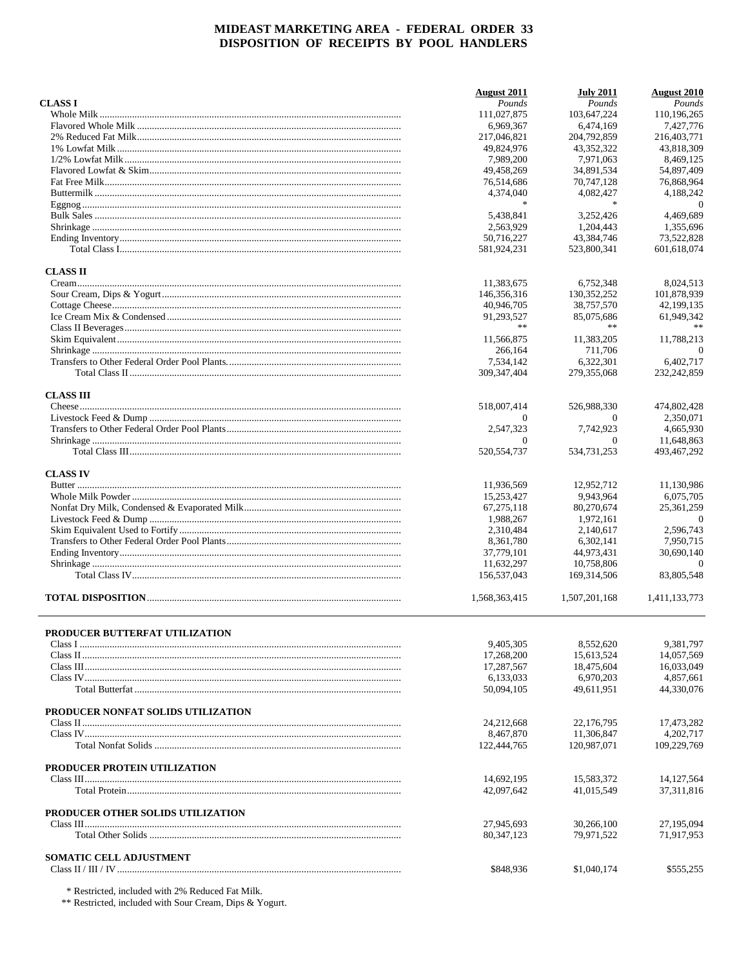|                                       | <b>August</b> 2011 | <b>July 2011</b> | <b>August 2010</b> |
|---------------------------------------|--------------------|------------------|--------------------|
| <b>CLASS I</b>                        | Pounds             | Pounds           | Pounds             |
|                                       | 111,027,875        | 103,647,224      | 110,196,265        |
|                                       | 6,969,367          | 6,474,169        | 7,427,776          |
|                                       | 217,046,821        | 204,792,859      | 216,403,771        |
|                                       | 49.824.976         | 43,352,322       | 43.818.309         |
|                                       | 7,989,200          | 7,971,063        | 8,469,125          |
|                                       | 49,458,269         | 34,891,534       | 54,897,409         |
|                                       | 76,514,686         | 70,747,128       | 76,868,964         |
|                                       | 4,374,040          | 4,082,427        | 4,188,242          |
|                                       | $\ast$             | $\frac{1}{2}$    | $\overline{0}$     |
|                                       | 5,438,841          | 3,252,426        | 4,469,689          |
|                                       | 2,563,929          | 1.204.443        | 1,355,696          |
|                                       | 50,716,227         | 43,384,746       | 73,522,828         |
|                                       | 581,924,231        | 523,800,341      | 601,618,074        |
| <b>CLASS II</b>                       |                    |                  |                    |
|                                       | 11,383,675         | 6,752,348        | 8,024,513          |
|                                       | 146,356,316        | 130, 352, 252    | 101,878,939        |
|                                       | 40,946,705         | 38,757,570       | 42,199,135         |
|                                       | 91,293,527         | 85,075,686       | 61,949,342         |
|                                       | **                 | $\pm\, \pm$      |                    |
|                                       | 11,566,875         | 11,383,205       | 11,788,213         |
|                                       |                    |                  | $\theta$           |
|                                       | 266,164            | 711,706          |                    |
|                                       | 7,534,142          | 6,322,301        | 6,402,717          |
|                                       | 309, 347, 404      | 279,355,068      | 232, 242, 859      |
| <b>CLASS III</b>                      |                    |                  |                    |
|                                       | 518,007,414        | 526,988,330      | 474,802,428        |
|                                       | $\Omega$           | $\Omega$         | 2,350,071          |
|                                       | 2,547,323          | 7,742,923        | 4,665,930          |
|                                       | $\Omega$           | $\Omega$         | 11,648,863         |
|                                       | 520,554,737        | 534,731,253      | 493,467,292        |
| <b>CLASS IV</b>                       |                    |                  |                    |
|                                       | 11,936,569         | 12,952,712       | 11,130,986         |
|                                       | 15,253,427         | 9,943,964        | 6,075,705          |
|                                       | 67, 275, 118       | 80,270,674       | 25, 361, 259       |
|                                       | 1,988,267          | 1,972,161        | $\theta$           |
|                                       | 2,310,484          | 2,140,617        | 2,596,743          |
|                                       | 8,361,780          | 6,302,141        | 7,950,715          |
|                                       | 37,779,101         | 44,973,431       | 30,690,140         |
|                                       | 11,632,297         | 10,758,806       | $\theta$           |
|                                       | 156,537,043        | 169, 314, 506    | 83,805,548         |
|                                       | 1,568,363,415      | 1,507,201,168    | 1,411,133,773      |
|                                       |                    |                  |                    |
|                                       |                    |                  |                    |
| <b>PRODUCER BUTTERFAT UTILIZATION</b> | 9,405,305          | 8.552.620        | 9,381,797          |
|                                       | 17,268,200         | 15,613,524       | 14,057,569         |
|                                       | 17,287,567         | 18,475,604       | 16,033,049         |
|                                       | 6,133,033          | 6,970,203        | 4,857,661          |
|                                       | 50,094,105         | 49,611,951       | 44,330,076         |
|                                       |                    |                  |                    |
| PRODUCER NONFAT SOLIDS UTILIZATION    |                    |                  |                    |
|                                       | 24,212,668         | 22,176,795       | 17,473,282         |
|                                       | 8,467,870          | 11,306,847       | 4,202,717          |
|                                       | 122,444,765        | 120,987,071      | 109,229,769        |
| PRODUCER PROTEIN UTILIZATION          |                    |                  |                    |
|                                       | 14,692,195         | 15,583,372       | 14, 127, 564       |
|                                       | 42,097,642         | 41,015,549       | 37, 311, 816       |
| PRODUCER OTHER SOLIDS UTILIZATION     |                    |                  |                    |
|                                       | 27,945,693         | 30,266,100       | 27,195,094         |
|                                       | 80, 347, 123       | 79,971,522       | 71,917,953         |
|                                       |                    |                  |                    |
| <b>SOMATIC CELL ADJUSTMENT</b>        | \$848,936          | \$1,040,174      | \$555,255          |
|                                       |                    |                  |                    |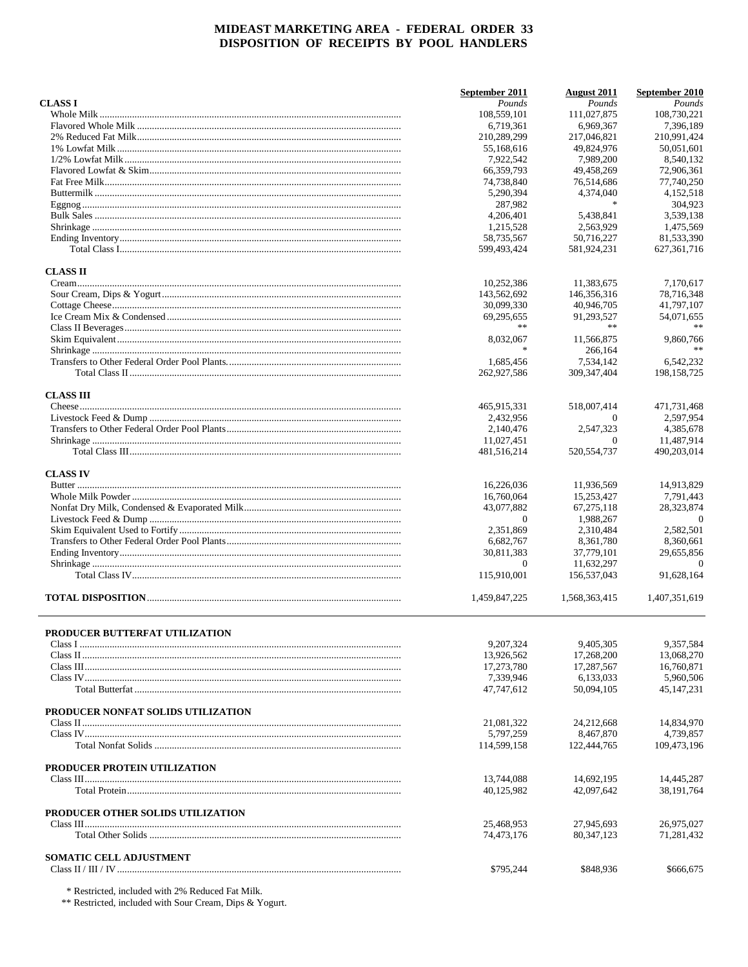|                                       | September 2011           | <b>August 2011</b>       | September 2010             |
|---------------------------------------|--------------------------|--------------------------|----------------------------|
| <b>CLASS I</b>                        | Pounds                   | Pounds                   | Pounds                     |
|                                       | 108,559,101              | 111,027,875              | 108,730,221                |
|                                       | 6,719,361                | 6,969,367                | 7,396,189                  |
|                                       | 210,289,299              | 217,046,821              | 210,991,424                |
|                                       | 55,168,616               | 49,824,976               | 50,051,601                 |
|                                       | 7,922,542                | 7,989,200                | 8,540,132                  |
|                                       | 66,359,793               | 49,458,269               | 72,906,361                 |
|                                       | 74,738,840               | 76,514,686               | 77,740,250                 |
|                                       | 5,290,394                | 4,374,040                | 4,152,518                  |
|                                       | 287,982                  | $\ast$                   | 304,923                    |
|                                       | 4,206,401                | 5,438,841                | 3,539,138                  |
|                                       | 1,215,528                | 2,563,929                | 1.475.569                  |
|                                       | 58,735,567               | 50,716,227               | 81,533,390                 |
|                                       | 599,493,424              | 581,924,231              | 627, 361, 716              |
| <b>CLASS II</b>                       |                          |                          |                            |
|                                       | 10,252,386               | 11,383,675               | 7,170,617                  |
|                                       | 143,562,692              | 146,356,316              | 78,716,348                 |
|                                       | 30,099,330               | 40,946,705               | 41,797,107                 |
|                                       | 69,295,655               | 91,293,527               | 54,071,655                 |
|                                       | **                       | $\pm\, \pm$              | 米米                         |
|                                       |                          |                          |                            |
|                                       | 8,032,067                | 11.566.875               | 9,860,766                  |
|                                       |                          | 266,164                  | $**$                       |
|                                       | 1,685,456                | 7,534,142                | 6,542,232                  |
|                                       | 262,927,586              | 309, 347, 404            | 198, 158, 725              |
| <b>CLASS III</b>                      |                          |                          |                            |
|                                       | 465,915,331              | 518,007,414              | 471,731,468                |
|                                       | 2,432,956                | $\theta$                 | 2.597.954                  |
|                                       | 2,140,476                | 2,547,323                | 4,385,678                  |
|                                       | 11,027,451               | $\Omega$                 | 11,487,914                 |
|                                       | 481,516,214              | 520, 554, 737            | 490,203,014                |
| <b>CLASS IV</b>                       |                          |                          |                            |
|                                       | 16,226,036               | 11,936,569               | 14,913,829                 |
|                                       | 16,760,064               | 15,253,427               | 7,791,443                  |
|                                       | 43,077,882               | 67, 275, 118             | 28,323,874                 |
|                                       | $\theta$                 | 1,988,267                | $\theta$                   |
|                                       | 2,351,869                | 2,310,484                | 2,582,501                  |
|                                       | 6,682,767                | 8,361,780                | 8,360,661                  |
|                                       | 30,811,383               | 37,779,101               | 29,655,856                 |
|                                       | $\theta$                 | 11,632,297               | $\theta$                   |
|                                       | 115,910,001              | 156,537,043              | 91,628,164                 |
|                                       | 1,459,847,225            | 1,568,363,415            | 1,407,351,619              |
|                                       |                          |                          |                            |
| <b>PRODUCER BUTTERFAT UTILIZATION</b> | 9,207,324                | 9,405,305                | 9,357,584                  |
|                                       | 13,926,562               |                          |                            |
|                                       |                          | 17,268,200               | 13,068,270                 |
|                                       | 17,273,780               | 17,287,567               | 16,760,871                 |
|                                       | 7.339.946                | 6,133,033                | 5,960,506                  |
|                                       | 47,747,612               | 50,094,105               | 45.147.231                 |
| PRODUCER NONFAT SOLIDS UTILIZATION    |                          |                          |                            |
|                                       | 21,081,322               | 24,212,668               | 14,834,970                 |
|                                       | 5.797.259                | 8,467,870                | 4,739,857                  |
|                                       | 114,599,158              | 122,444,765              | 109.473.196                |
|                                       |                          |                          |                            |
| PRODUCER PROTEIN UTILIZATION          |                          |                          |                            |
|                                       | 13,744,088<br>40,125,982 | 14,692,195<br>42,097,642 | 14,445,287<br>38, 191, 764 |
|                                       |                          |                          |                            |
| PRODUCER OTHER SOLIDS UTILIZATION     |                          |                          |                            |
|                                       | 25,468,953               | 27,945,693               | 26,975,027                 |
|                                       | 74,473,176               | 80, 347, 123             | 71,281,432                 |
| <b>SOMATIC CELL ADJUSTMENT</b>        |                          |                          |                            |
|                                       | \$795,244                | \$848,936                | \$666,675                  |
|                                       |                          |                          |                            |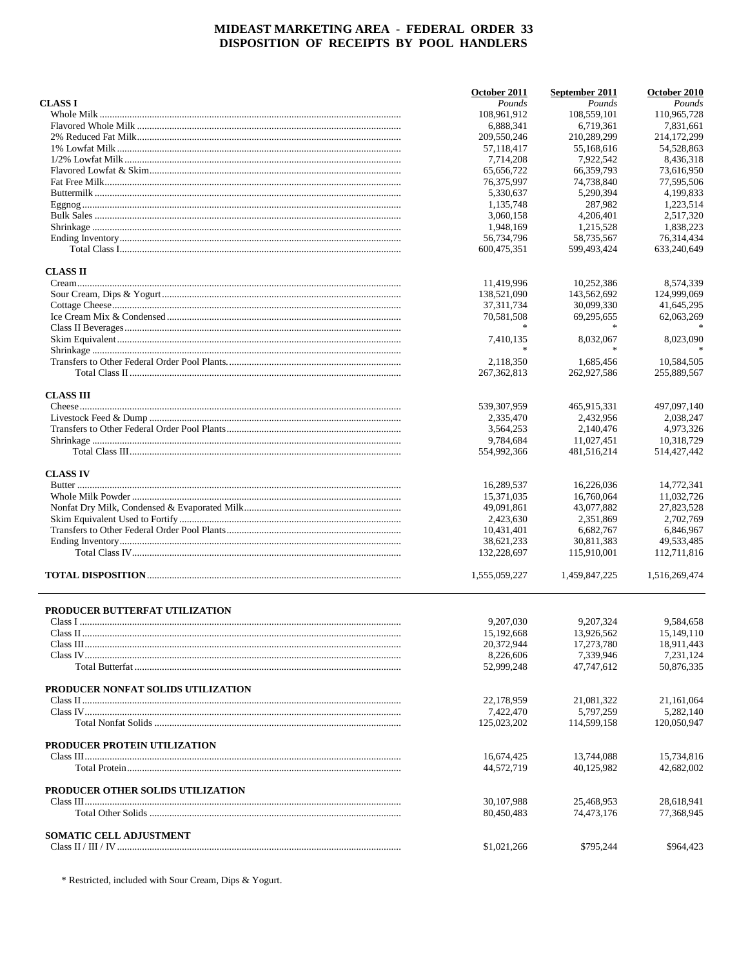|                                    | October 2011                      | September 2011          | October 2010            |
|------------------------------------|-----------------------------------|-------------------------|-------------------------|
| <b>CLASS I</b>                     | Pounds                            | Pounds                  | Pounds                  |
|                                    | 108,961,912                       | 108,559,101             | 110,965,728             |
|                                    | 6,888,341                         | 6,719,361               | 7,831,661               |
|                                    | 209,550,246                       | 210,289,299             | 214,172,299             |
|                                    | 57,118,417                        | 55,168,616              | 54,528,863              |
|                                    | 7,714,208                         | 7.922.542               | 8,436,318               |
|                                    | 65.656.722                        | 66,359,793              | 73,616,950              |
|                                    | 76,375,997                        | 74,738,840              | 77,595,506              |
|                                    | 5,330,637                         | 5,290,394               | 4,199,833               |
|                                    | 1,135,748                         | 287,982                 | 1,223,514               |
|                                    | 3,060,158                         | 4,206,401               | 2,517,320               |
|                                    | 1,948,169                         | 1.215.528               | 1,838,223               |
|                                    | 56,734,796                        | 58,735,567              | 76.314.434              |
|                                    | 600,475,351                       | 599,493,424             | 633,240,649             |
| <b>CLASS II</b>                    |                                   |                         |                         |
|                                    | 11,419,996                        | 10,252,386              | 8,574,339               |
|                                    | 138,521,090                       | 143,562,692             | 124,999,069             |
|                                    | 37, 311, 734                      | 30,099,330              | 41,645,295              |
|                                    | 70,581,508                        | 69,295,655              | 62,063,269              |
|                                    |                                   | $\ast$                  |                         |
|                                    | 7,410,135                         | 8,032,067               | 8,023,090               |
|                                    | $\frac{d\mathbf{x}}{d\mathbf{x}}$ |                         |                         |
|                                    | 2,118,350                         | 1,685,456               | 10,584,505              |
|                                    | 267, 362, 813                     | 262,927,586             | 255,889,567             |
|                                    |                                   |                         |                         |
| <b>CLASS III</b>                   |                                   |                         |                         |
|                                    | 539,307,959                       | 465,915,331             | 497,097,140             |
|                                    | 2,335,470                         | 2,432,956               | 2,038,247               |
|                                    | 3,564,253                         | 2,140,476               | 4,973,326               |
|                                    | 9,784,684                         | 11,027,451              | 10,318,729              |
|                                    | 554,992,366                       | 481,516,214             | 514,427,442             |
| <b>CLASS IV</b>                    |                                   |                         |                         |
|                                    | 16,289,537                        | 16,226,036              | 14,772,341              |
|                                    | 15,371,035                        | 16,760,064              | 11,032,726              |
|                                    | 49,091,861                        | 43,077,882              | 27,823,528              |
|                                    | 2,423,630                         | 2,351,869               | 2,702,769               |
|                                    | 10,431,401                        | 6,682,767               | 6,846,967               |
|                                    | 38,621,233                        | 30,811,383              | 49,533,485              |
|                                    | 132,228,697                       | 115,910,001             | 112,711,816             |
|                                    | 1,555,059,227                     | 1,459,847,225           | 1,516,269,474           |
|                                    |                                   |                         |                         |
| PRODUCER BUTTERFAT UTILIZATION     |                                   |                         |                         |
|                                    | 9,207,030                         | 9,207,324               | 9,584,658               |
|                                    | 15, 192, 668                      | 13,926,562              | 15, 149, 110            |
|                                    | 20,372,944                        | 17,273,780              | 18,911,443              |
|                                    | 8,226,606<br>52,999,248           | 7,339,946<br>47,747,612 | 7,231,124<br>50,876,335 |
|                                    |                                   |                         |                         |
| PRODUCER NONFAT SOLIDS UTILIZATION |                                   |                         |                         |
|                                    | 22.178.959                        | 21,081,322              | 21,161,064              |
|                                    | 7,422,470                         | 5,797,259               | 5,282,140               |
|                                    | 125,023,202                       | 114,599,158             | 120,050,947             |
| PRODUCER PROTEIN UTILIZATION       |                                   |                         |                         |
|                                    | 16,674,425                        | 13,744,088              | 15,734,816              |
|                                    | 44,572,719                        | 40,125,982              | 42,682,002              |
| PRODUCER OTHER SOLIDS UTILIZATION  |                                   |                         |                         |
|                                    | 30, 107, 988                      | 25,468,953              | 28,618,941              |
|                                    | 80,450,483                        | 74,473,176              | 77,368,945              |
| <b>SOMATIC CELL ADJUSTMENT</b>     |                                   |                         |                         |
|                                    | \$1,021,266                       | \$795,244               | \$964,423               |
|                                    |                                   |                         |                         |

 $\hspace{0.1mm}^*$  Restricted, included with Sour Cream, Dips & Yogurt.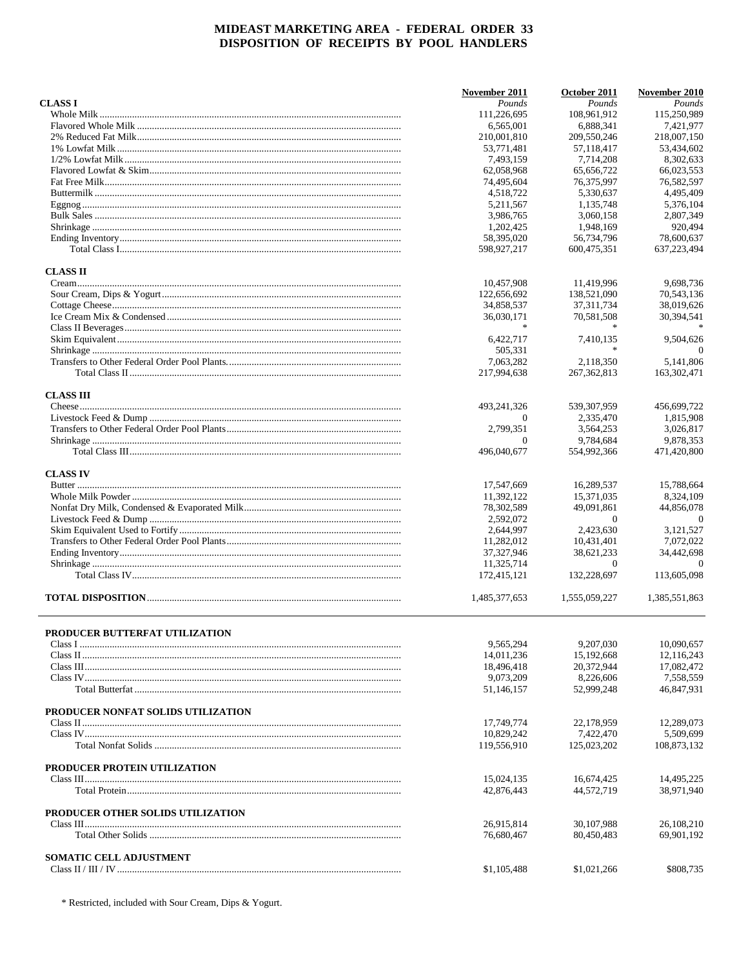|                                    | November 2011 | October 2011                | November 2010 |
|------------------------------------|---------------|-----------------------------|---------------|
| <b>CLASS I</b>                     | Pounds        | Pounds                      | Pounds        |
|                                    | 111,226,695   | 108,961,912                 | 115,250,989   |
|                                    | 6,565,001     | 6,888,341                   | 7,421,977     |
|                                    | 210,001,810   | 209,550,246                 | 218,007,150   |
|                                    | 53,771,481    | 57,118,417                  | 53,434,602    |
|                                    | 7.493,159     | 7,714,208                   | 8.302.633     |
|                                    | 62,058,968    | 65,656,722                  | 66,023,553    |
|                                    | 74,495,604    | 76,375,997                  | 76,582,597    |
|                                    | 4,518,722     | 5,330,637                   | 4,495,409     |
|                                    | 5,211,567     | 1.135.748                   | 5,376,104     |
|                                    |               |                             |               |
|                                    | 3,986,765     | 3,060,158                   | 2,807,349     |
|                                    | 1,202,425     | 1,948,169                   | 920,494       |
|                                    | 58,395,020    | 56,734,796                  | 78,600,637    |
|                                    | 598,927,217   | 600,475,351                 | 637,223,494   |
| <b>CLASS II</b>                    |               |                             |               |
|                                    | 10,457,908    | 11,419,996                  | 9,698,736     |
|                                    | 122,656,692   | 138,521,090                 | 70,543,136    |
|                                    | 34,858,537    | 37, 311, 734                | 38,019,626    |
|                                    | 36,030,171    | 70,581,508                  | 30,394,541    |
|                                    | *             | $\star$                     |               |
|                                    |               |                             |               |
|                                    | 6,422,717     | 7,410,135<br>$\frac{1}{26}$ | 9,504,626     |
|                                    | 505,331       |                             | $\Omega$      |
|                                    | 7.063.282     | 2,118,350                   | 5,141,806     |
|                                    | 217,994,638   | 267, 362, 813               | 163,302,471   |
| <b>CLASS III</b>                   |               |                             |               |
|                                    | 493,241,326   | 539, 307, 959               | 456,699,722   |
|                                    | $\theta$      | 2,335,470                   | 1,815,908     |
|                                    | 2,799,351     | 3,564,253                   | 3,026,817     |
|                                    | $\theta$      | 9,784,684                   | 9,878,353     |
|                                    | 496,040,677   | 554,992,366                 | 471,420,800   |
|                                    |               |                             |               |
| <b>CLASS IV</b>                    |               |                             |               |
|                                    | 17,547,669    | 16,289,537                  | 15,788,664    |
|                                    | 11,392,122    | 15,371,035                  | 8,324,109     |
|                                    | 78,302,589    | 49,091,861                  | 44,856,078    |
|                                    | 2,592,072     | $\theta$                    | $\theta$      |
|                                    | 2,644,997     | 2,423,630                   | 3,121,527     |
|                                    | 11,282,012    | 10,431,401                  | 7,072,022     |
|                                    | 37,327,946    | 38,621,233                  | 34,442,698    |
|                                    | 11,325,714    | $\Omega$                    | $\Omega$      |
|                                    | 172,415,121   | 132,228,697                 | 113,605,098   |
|                                    | 1.485.377.653 | 1,555,059,227               | 1,385,551,863 |
|                                    |               |                             |               |
| PRODUCER BUTTERFAT UTILIZATION     |               |                             |               |
|                                    | 9,565,294     | 9,207,030                   | 10,090,657    |
|                                    | 14,011,236    | 15,192,668                  | 12,116,243    |
|                                    | 18,496,418    | 20.372.944                  | 17,082,472    |
|                                    |               |                             | 7,558,559     |
|                                    | 9,073,209     | 8,226,606                   |               |
|                                    | 51,146,157    | 52,999,248                  | 46,847,931    |
| PRODUCER NONFAT SOLIDS UTILIZATION |               |                             |               |
|                                    | 17,749,774    | 22,178,959                  | 12,289,073    |
|                                    | 10,829,242    | 7,422,470                   | 5,509,699     |
|                                    | 119,556,910   | 125,023,202                 | 108,873,132   |
|                                    |               |                             |               |
| PRODUCER PROTEIN UTILIZATION       | 15,024,135    | 16,674,425                  | 14,495,225    |
|                                    | 42,876,443    | 44,572,719                  | 38,971,940    |
|                                    |               |                             |               |
| PRODUCER OTHER SOLIDS UTILIZATION  |               |                             |               |
|                                    | 26,915,814    | 30,107,988                  | 26,108,210    |
|                                    | 76,680,467    | 80,450,483                  | 69,901,192    |
| <b>SOMATIC CELL ADJUSTMENT</b>     |               |                             |               |
|                                    | \$1,105,488   | \$1,021,266                 | \$808,735     |
|                                    |               |                             |               |

\* Restricted, included with Sour Cream, Dips & Yogurt.